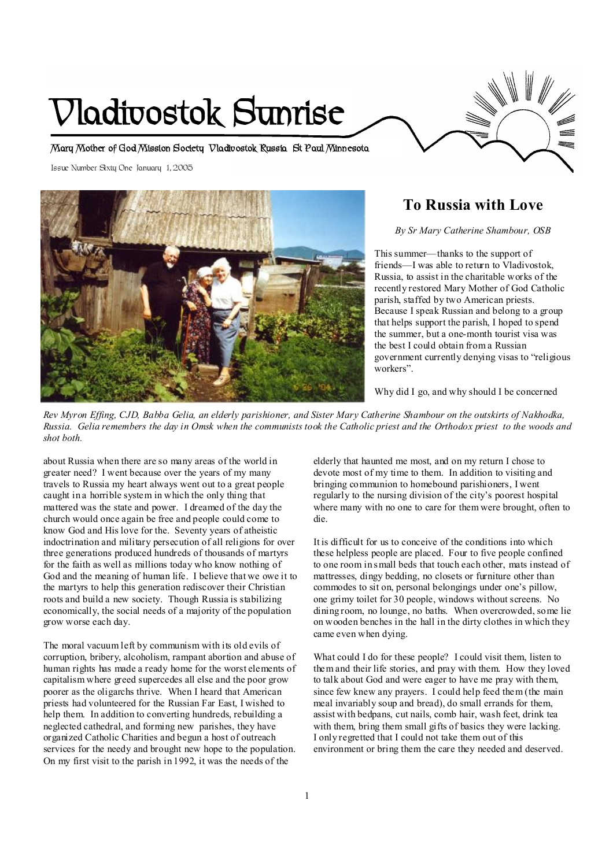# **Vladivostok Sunrise**

**Mary Mother of God Mission Society Vladivostok Russia St Paul Minnesota** 

Issue Number Sixty One January 1, 2005



# **To Russia with Love**

*By Sr Mary Catherine Shambour, OSB* 

This summer—thanks to the support of friends—I was able to return to Vladivostok, Russia, to assist in the charitable works of the recently restored Mary Mother of God Catholic parish, staffed by two American priests. Because I speak Russian and belong to a group that helps support the parish, I hoped to spend the summer, but a one-month tourist visa was the best I could obtain from a Russian government currently denying visas to "religious workers".

Why did I go, and why should I be concerned

Rev Myron Effing, CJD, Babba Gelia, an elderly parishioner, and Sister Mary Catherine Shambour on the outskirts of Nakhodka, *Russia. Gelia remembers the day in Omsk when the communists took the Catholic priest and the Orthodox priest to the woods and shot both.* 

about Russia when there are so many areas of the world in greater need? I went because over the years of my many travels to Russia my heart always went out to a great people caught in a horrible system in which the only thing that mattered was the state and power. I dreamed of the day the church would once again be free and people could come to know God and His love for the. Seventy years of atheistic indoctrination and military persecution of all religions for over three generations produced hundreds of thousands of martyrs for the faith as well as millions today who know nothing of God and the meaning of human life. I believe that we owe it to the martyrs to help this generation rediscover their Christian roots and build a new society. Though Russia is stabilizing economically, the social needs of a majority of the population grow worse each day.

The moral vacuum left by communism with its old evils of corruption, bribery, alcoholism, rampant abortion and abuse of human rights has made a ready home for the worst elements of capitalism where greed supercedes all else and the poor grow poorer as the oligarchs thrive. When I heard that American priests had volunteered for the Russian Far East, I wished to help them. In addition to converting hundreds, rebuilding a neglected cathedral, and forming new parishes, they have organized Catholic Charities and begun a host of outreach services for the needy and brought new hope to the population. On my first visit to the parish in 1992, it was the needs of the

elderly that haunted me most, and on my return I chose to devote most of my time to them. In addition to visiting and bringing communion to homebound parishioners, I went regularly to the nursing division of the city's poorest hospital where many with no one to care for them were brought, often to die.

It is difficult for us to conceive of the conditions into which these helpless people are placed. Four to five people confined to one room in small beds that touch each other, mats instead of mattresses, dingy bedding, no closets or furniture other than commodes to sit on, personal belongings under one's pillow, one grimy toilet for 30 people, windows without screens. No dining room, no lounge, no baths. When overcrowded, some lie on wooden benches in the hall in the dirty clothes in which they came even when dying.

What could I do for these people? I could visit them, listen to them and their life stories, and pray with them. How they loved to talk about God and were eager to have me pray with them, since few knew any prayers. I could help feed them (the main meal invariably soup and bread), do small errands for them, assist with bedpans, cut nails, comb hair, wash feet, drink tea with them, bring them small gifts of basics they were lacking. I only regretted that I could not take them out of this environment or bring them the care they needed and deserved.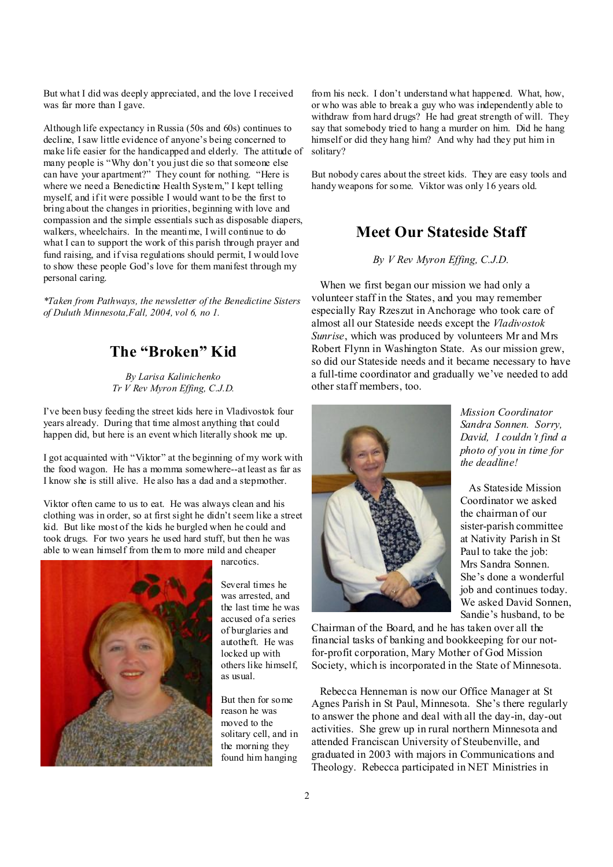But what I did was deeply appreciated, and the love I received was far more than I gave.

Although life expectancy in Russia (50s and 60s) continues to decline, Isaw little evidence of anyone's being concerned to make life easier for the handicapped and elderly. The attitude of many people is "Why don't you just die so that someone else can have your apartment?" They count for nothing. "Here is where we need a Benedictine Health System," I kept telling myself, and if it were possible I would want to be the first to bring about the changes in priorities, beginning with love and compassion and the simple essentials such as disposable diapers, walkers, wheelchairs. In the meantime, I will continue to do what I can to support the work of this parish through prayer and fund raising, and if visa regulations should permit, I would love to show these people God's love for them manifest through my personal caring.

*\*Taken from Pathways, the newsletter of the Benedictine Sisters of Duluth Minnesota,Fall, 2004, vol 6, no 1.*

# **The "Broken" Kid**

*By Larisa Kalinichenko Tr V Rev Myron Effing, C.J.D.* 

I've been busy feeding the street kids here in Vladivostok four years already. During that time almost anything that could happen did, but here is an event which literally shook me up.

I got acquainted with "Viktor" at the beginning of my work with the food wagon. He has a momma somewhere--at least as far as I know she is still alive. He also has a dad and a stepmother.

Viktor often came to us to eat. He was always clean and his clothing was in order, so at first sight he didn't seem like a street kid. But like most of the kids he burgled when he could and took drugs. For two years he used hard stuff, but then he was able to wean himself from them to more mild and cheaper



narcotics.

Several times he was arrested, and the last time he was accused of a series of burglaries and autotheft. He was locked up with others like himself, as usual.

But then for some reason he was moved to the solitary cell, and in the morning they found him hanging

from his neck. I don't understand what happened. What, how, or who was able to break a guy who was independently able to withdraw from hard drugs? He had great strength of will. They say that somebody tried to hang a murder on him. Did he hang himself or did they hang him? And why had they put him in solitary?

But nobody cares about the street kids. They are easy tools and handy weapons for some. Viktor was only 16 years old.

# **Meet Our Stateside Staff**

*By V Rev Myron Effing, C.J.D.*

 When we first began our mission we had only a volunteer staff in the States, and you may remember especially Ray Rzeszut in Anchorage who took care of almost all our Stateside needs except the *Vladivostok Sunrise*, which was produced by volunteers Mr and Mrs Robert Flynn in Washington State. As our mission grew, so did our Stateside needs and it became necessary to have a full-time coordinator and gradually we've needed to add other staff members, too.



*Mission Coordinator Sandra Sonnen. Sorry, David, I couldn't find a photo of you in time for the deadline!* 

 As Stateside Mission Coordinator we asked the chairman of our sister-parish committee at Nativity Parish in St Paul to take the job: Mrs Sandra Sonnen. She's done a wonderful job and continues today. We asked David Sonnen, Sandie's husband, to be

Chairman of the Board, and he has taken over all the financial tasks of banking and bookkeeping for our notfor-profit corporation, Mary Mother of God Mission Society, which is incorporated in the State of Minnesota.

 Rebecca Henneman is now our Office Manager at St Agnes Parish in St Paul, Minnesota. She's there regularly to answer the phone and deal with all the day-in, day-out activities. She grew up in rural northern Minnesota and attended Franciscan University of Steubenville, and graduated in 2003 with majors in Communications and Theology. Rebecca participated in NET Ministries in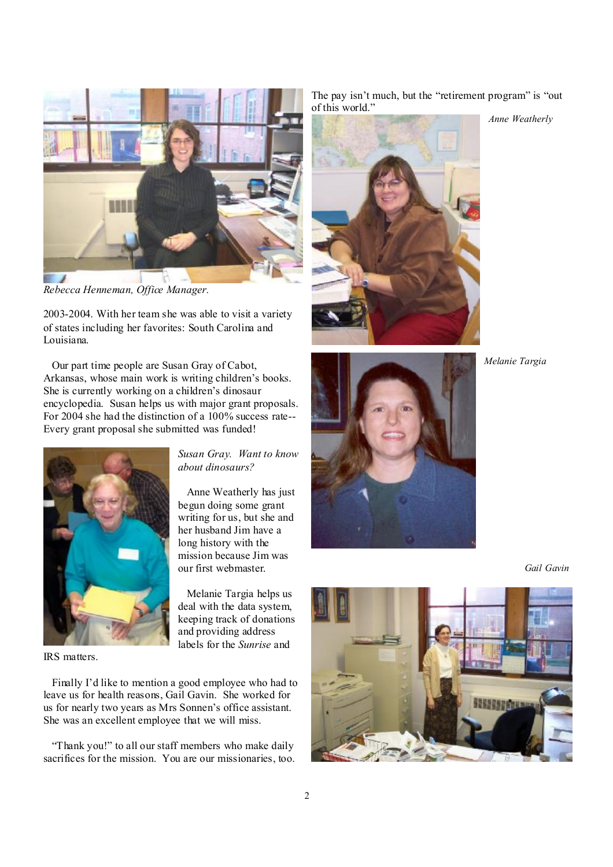

*Rebecca Henneman, Office Manager.* 

2003-2004. With her team she was able to visit a variety of states including her favorites: South Carolina and Louisiana.

 Our part time people are Susan Gray of Cabot, Arkansas, whose main work is writing children's books. She is currently working on a children's dinosaur encyclopedia. Susan helps us with major grant proposals. For 2004 she had the distinction of a 100% success rate-- Every grant proposal she submitted was funded!

Anne Weatherly has just

Melanie Targia helps us



IRS matters.

 Finally I'd like to mention a good employee who had to leave us for health reasons, Gail Gavin. She worked for us for nearly two years as Mrs Sonnen's office assistant. She was an excellent employee that we will miss.

 "Thank you!" to all our staff members who make daily sacrifices for the mission. You are our missionaries, too. The pay isn't much, but the "retirement program" is "out of this world."

*Anne Weatherly*



*Melanie Targia* 



 *Gail Gavin* 

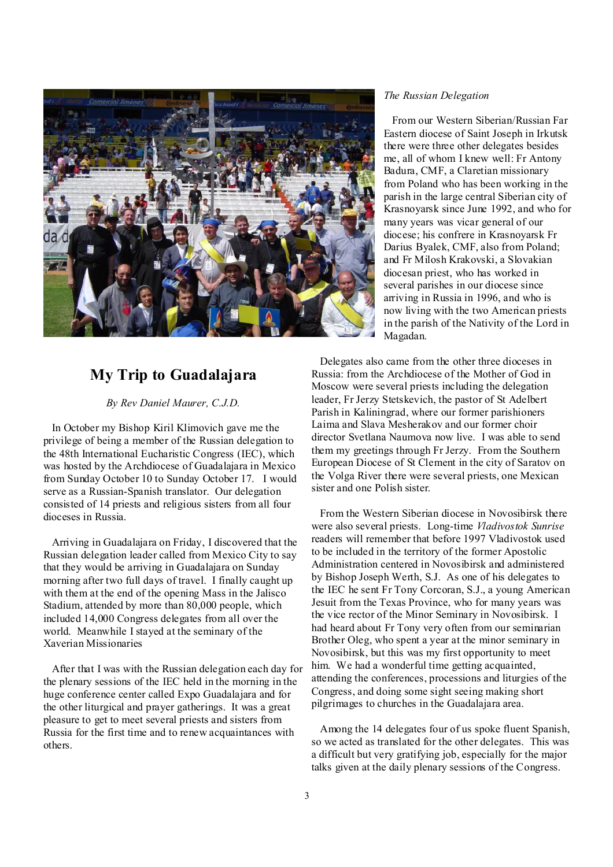

# **My Trip to Guadalajara**

*By Rev Daniel Maurer, C.J.D.* 

 In October my Bishop Kiril Klimovich gave me the privilege of being a member of the Russian delegation to the 48th International Eucharistic Congress (IEC), which was hosted by the Archdiocese of Guadalajara in Mexico from Sunday October 10 to Sunday October 17. I would serve as a Russian-Spanish translator. Our delegation consisted of 14 priests and religious sisters from all four dioceses in Russia.

 Arriving in Guadalajara on Friday, I discovered that the Russian delegation leader called from Mexico City to say that they would be arriving in Guadalajara on Sunday morning after two full days of travel. I finally caught up with them at the end of the opening Mass in the Jalisco Stadium, attended by more than 80,000 people, which included 14,000 Congress delegates from all over the world. Meanwhile I stayed at the seminary of the Xaverian Missionaries

 After that I was with the Russian delegation each day for the plenary sessions of the IEC held in the morning in the huge conference center called Expo Guadalajara and for the other liturgical and prayer gatherings. It was a great pleasure to get to meet several priests and sisters from Russia for the first time and to renew acquaintances with others.

#### *The Russian Delegation*

 From our Western Siberian/Russian Far Eastern diocese of Saint Joseph in Irkutsk there were three other delegates besides me, all of whom I knew well: Fr Antony Badura, CMF, a Claretian missionary from Poland who has been working in the parish in the large central Siberian city of Krasnoyarsk since June 1992, and who for many years was vicar general of our diocese; his confrere in Krasnoyarsk Fr Darius Byalek, CMF, also from Poland; and Fr Milosh Krakovski, a Slovakian diocesan priest, who has worked in several parishes in our diocese since arriving in Russia in 1996, and who is now living with the two American priests in the parish of the Nativity of the Lord in Magadan.

 Delegates also came from the other three dioceses in Russia: from the Archdiocese of the Mother of God in Moscow were several priests including the delegation leader, Fr Jerzy Stetskevich, the pastor of St Adelbert Parish in Kaliningrad, where our former parishioners Laima and Slava Mesherakov and our former choir director Svetlana Naumova now live. I was able to send them my greetings through Fr Jerzy. From the Southern European Diocese of St Clement in the city of Saratov on the Volga River there were several priests, one Mexican sister and one Polish sister.

 From the Western Siberian diocese in Novosibirsk there were also several priests. Long-time *Vladivostok Sunrise*  readers will remember that before 1997 Vladivostok used to be included in the territory of the former Apostolic Administration centered in Novosibirsk and administered by Bishop Joseph Werth, S.J. As one of his delegates to the IEC he sent Fr Tony Corcoran, S.J., a young American Jesuit from the Texas Province, who for many years was the vice rector of the Minor Seminary in Novosibirsk. I had heard about Fr Tony very often from our seminarian Brother Oleg, who spent a year at the minor seminary in Novosibirsk, but this was my first opportunity to meet him. We had a wonderful time getting acquainted, attending the conferences, processions and liturgies of the Congress, and doing some sight seeing making short pilgrimages to churches in the Guadalajara area.

 Among the 14 delegates four of us spoke fluent Spanish, so we acted as translated for the other delegates. This was a difficult but very gratifying job, especially for the major talks given at the daily plenary sessions of the Congress.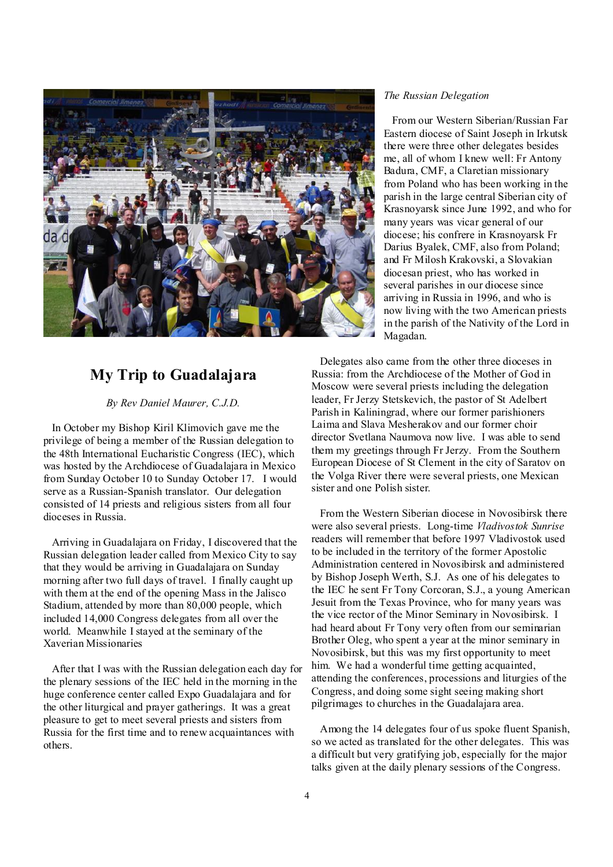

# **My Trip to Guadalajara**

*By Rev Daniel Maurer, C.J.D.* 

 In October my Bishop Kiril Klimovich gave me the privilege of being a member of the Russian delegation to the 48th International Eucharistic Congress (IEC), which was hosted by the Archdiocese of Guadalajara in Mexico from Sunday October 10 to Sunday October 17. I would serve as a Russian-Spanish translator. Our delegation consisted of 14 priests and religious sisters from all four dioceses in Russia.

 Arriving in Guadalajara on Friday, I discovered that the Russian delegation leader called from Mexico City to say that they would be arriving in Guadalajara on Sunday morning after two full days of travel. I finally caught up with them at the end of the opening Mass in the Jalisco Stadium, attended by more than 80,000 people, which included 14,000 Congress delegates from all over the world. Meanwhile I stayed at the seminary of the Xaverian Missionaries

 After that I was with the Russian delegation each day for the plenary sessions of the IEC held in the morning in the huge conference center called Expo Guadalajara and for the other liturgical and prayer gatherings. It was a great pleasure to get to meet several priests and sisters from Russia for the first time and to renew acquaintances with others.

#### *The Russian Delegation*

 From our Western Siberian/Russian Far Eastern diocese of Saint Joseph in Irkutsk there were three other delegates besides me, all of whom I knew well: Fr Antony Badura, CMF, a Claretian missionary from Poland who has been working in the parish in the large central Siberian city of Krasnoyarsk since June 1992, and who for many years was vicar general of our diocese; his confrere in Krasnoyarsk Fr Darius Byalek, CMF, also from Poland; and Fr Milosh Krakovski, a Slovakian diocesan priest, who has worked in several parishes in our diocese since arriving in Russia in 1996, and who is now living with the two American priests in the parish of the Nativity of the Lord in Magadan.

 Delegates also came from the other three dioceses in Russia: from the Archdiocese of the Mother of God in Moscow were several priests including the delegation leader, Fr Jerzy Stetskevich, the pastor of St Adelbert Parish in Kaliningrad, where our former parishioners Laima and Slava Mesherakov and our former choir director Svetlana Naumova now live. I was able to send them my greetings through Fr Jerzy. From the Southern European Diocese of St Clement in the city of Saratov on the Volga River there were several priests, one Mexican sister and one Polish sister.

 From the Western Siberian diocese in Novosibirsk there were also several priests. Long-time *Vladivostok Sunrise*  readers will remember that before 1997 Vladivostok used to be included in the territory of the former Apostolic Administration centered in Novosibirsk and administered by Bishop Joseph Werth, S.J. As one of his delegates to the IEC he sent Fr Tony Corcoran, S.J., a young American Jesuit from the Texas Province, who for many years was the vice rector of the Minor Seminary in Novosibirsk. I had heard about Fr Tony very often from our seminarian Brother Oleg, who spent a year at the minor seminary in Novosibirsk, but this was my first opportunity to meet him. We had a wonderful time getting acquainted, attending the conferences, processions and liturgies of the Congress, and doing some sight seeing making short pilgrimages to churches in the Guadalajara area.

 Among the 14 delegates four of us spoke fluent Spanish, so we acted as translated for the other delegates. This was a difficult but very gratifying job, especially for the major talks given at the daily plenary sessions of the Congress.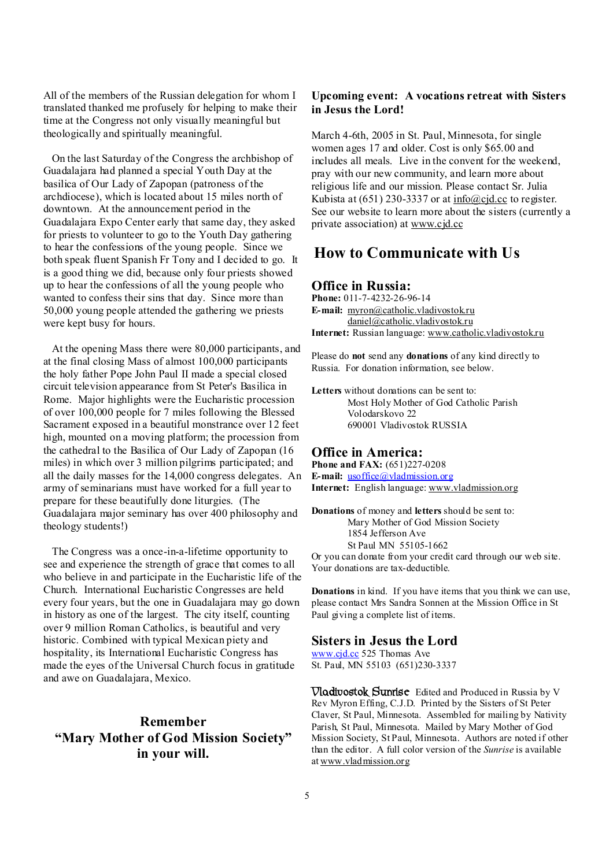All of the members of the Russian delegation for whom I translated thanked me profusely for helping to make their time at the Congress not only visually meaningful but theologically and spiritually meaningful.

 On the last Saturday of the Congress the archbishop of Guadalajara had planned a special Youth Day at the basilica of Our Lady of Zapopan (patroness of the archdiocese), which is located about 15 miles north of downtown. At the announcement period in the Guadalajara Expo Center early that same day, they asked for priests to volunteer to go to the Youth Day gathering to hear the confessions of the young people. Since we both speak fluent Spanish Fr Tony and I decided to go. It is a good thing we did, because only four priests showed up to hear the confessions of all the young people who wanted to confess their sins that day. Since more than 50,000 young people attended the gathering we priests were kept busy for hours.

 At the opening Mass there were 80,000 participants, and at the final closing Mass of almost 100,000 participants the holy father Pope John Paul II made a special closed circuit television appearance from St Peter's Basilica in Rome. Major highlights were the Eucharistic procession of over 100,000 people for 7 miles following the Blessed Sacrament exposed in a beautiful monstrance over 12 feet high, mounted on a moving platform; the procession from the cathedral to the Basilica of Our Lady of Zapopan (16 miles) in which over 3 million pilgrims participated; and all the daily masses for the 14,000 congress delegates. An army of seminarians must have worked for a full year to prepare for these beautifully done liturgies. (The Guadalajara major seminary has over 400 philosophy and theology students!)

 The Congress was a once-in-a-lifetime opportunity to see and experience the strength of grace that comes to all who believe in and participate in the Eucharistic life of the Church. International Eucharistic Congresses are held every four years, but the one in Guadalajara may go down in history as one of the largest. The city itself, counting over 9 million Roman Catholics, is beautiful and very historic. Combined with typical Mexican piety and hospitality, its International Eucharistic Congress has made the eyes of the Universal Church focus in gratitude and awe on Guadalajara, Mexico.

### **Remember "Mary Mother of God Mission Society" in your will.**

#### **Upcoming event: A vocations retreat with Sisters in Jesus the Lord!**

March 4-6th, 2005 in St. Paul, Minnesota, for single women ages 17 and older. Cost is only \$65.00 and includes all meals. Live in the convent for the weekend, pray with our new community, and learn more about religious life and our mission. Please contact Sr. Julia Kubista at  $(651)$  230-3337 or at  $\frac{info(@c)d(cc}{info(@c)d(cc)}$  to register. See our website to learn more about the sisters (currently a private association) at [www.cjd.cc](http://www.cjd.cc)

## **How to Communicate with Us**

#### **Office in Russia:**

**Phone:** 011-7-4232-26-96-14 **E-mail:** [myron@catholic.vladivostok.ru](mailto:myron@catholic.vladivostok.ru) [daniel@catholic.vladivostok.ru](mailto:daniel@catholic.vladivostok.ru) **Internet:** Russian language: [www.catholic.vladivostok.ru](http://www.catholic.vladivostok.ru)

Please do **not** send any **donations** of any kind directly to Russia. For donation information, see below.

**Letters** without donations can be sent to: Most Holy Mother of God Catholic Parish Volodarskovo 22 690001 Vladivostok RUSSIA

#### **Office in America:**

**Phone and FAX:** (651)227-0208 **E-mail:** <u>[usoffice@vladmission.org](mailto:usoffice@vladmission.org)</u> **Internet:** English language: [www.vladmission.org](http://www.vladmission.org)

**Donations** of money and **letters** should be sent to: Mary Mother of God Mission Society 1854 Jefferson Ave St Paul MN 55105-1662 Or you can donate from your credit card through our web site.

Your donations are tax-deductible.

**Donations** in kind. If you have items that you think we can use, please contact Mrs Sandra Sonnen at the Mission Office in St Paul giving a complete list of items.

#### **Sisters in Jesus the Lord**

[www.cjd.cc](http://www.cjd.cc) 525 Thomas Ave St. Paul, MN 55103 (651)230-3337

**Vladivostok Sunrise** Edited and Produced in Russia by V Rev Myron Effing, C.J.D. Printed by the Sisters of St Peter Claver, St Paul, Minnesota. Assembled for mailing by Nativity Parish, St Paul, Minnesota. Mailed by Mary Mother of God Mission Society, St Paul, Minnesota. Authors are noted if other than the editor. A full color version of the *Sunrise* is available at [www.vladmission.org](http://www.vladmission.org)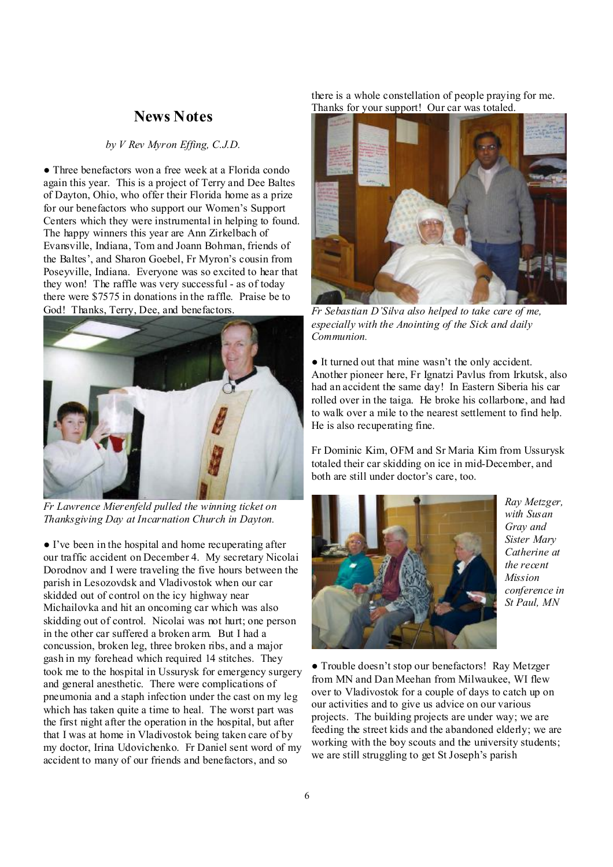#### **News Notes**

#### *by V Rev Myron Effing, C.J.D.*

● Three benefactors won a free week at a Florida condo again this year. This is a project of Terry and Dee Baltes of Dayton, Ohio, who offer their Florida home as a prize for our benefactors who support our Women's Support Centers which they were instrumental in helping to found. The happy winners this year are Ann Zirkelbach of Evansville, Indiana, Tom and Joann Bohman, friends of the Baltes', and Sharon Goebel, Fr Myron's cousin from Poseyville, Indiana. Everyone was so excited to hear that they won! The raffle was very successful - as of today there were \$7575 in donations in the raffle. Praise be to God! Thanks, Terry, Dee, and benefactors.



*Fr Lawrence Mierenfeld pulled the winning ticket on Thanksgiving Day at Incarnation Church in Dayton.* 

● I've been in the hospital and home recuperating after our traffic accident on December 4. My secretary Nicolai Dorodnov and I were traveling the five hours between the parish in Lesozovdsk and Vladivostok when our car skidded out of control on the icy highway near Michailovka and hit an oncoming car which was also skidding out of control. Nicolai was not hurt; one person in the other car suffered a broken arm. But I had a concussion, broken leg, three broken ribs, and a major gash in my forehead which required 14 stitches. They took me to the hospital in Ussurysk for emergency surgery and general anesthetic. There were complications of pneumonia and a staph infection under the cast on my leg which has taken quite a time to heal. The worst part was the first night after the operation in the hospital, but after that I was at home in Vladivostok being taken care of by my doctor, Irina Udovichenko. Fr Daniel sent word of my accident to many of our friends and benefactors, and so

there is a whole constellation of people praying for me. Thanks for your support! Our car was totaled.



*Fr Sebastian D'Silva also helped to take care of me, especially with the Anointing of the Sick and daily Communion.* 

● It turned out that mine wasn't the only accident. Another pioneer here, Fr Ignatzi Pavlus from Irkutsk, also had an accident the same day! In Eastern Siberia his car rolled over in the taiga. He broke his collarbone, and had to walk over a mile to the nearest settlement to find help. He is also recuperating fine.

Fr Dominic Kim, OFM and Sr Maria Kim from Ussurysk totaled their car skidding on ice in mid-December, and both are still under doctor's care, too.



*Ray Metzger, with Susan Gray and Sister Mary Catherine at the recent Mission conference in St Paul, MN* 

● Trouble doesn't stop our benefactors! Ray Metzger from MN and Dan Meehan from Milwaukee, WI flew over to Vladivostok for a couple of days to catch up on our activities and to give us advice on our various projects. The building projects are under way; we are feeding the street kids and the abandoned elderly; we are working with the boy scouts and the university students; we are still struggling to get St Joseph's parish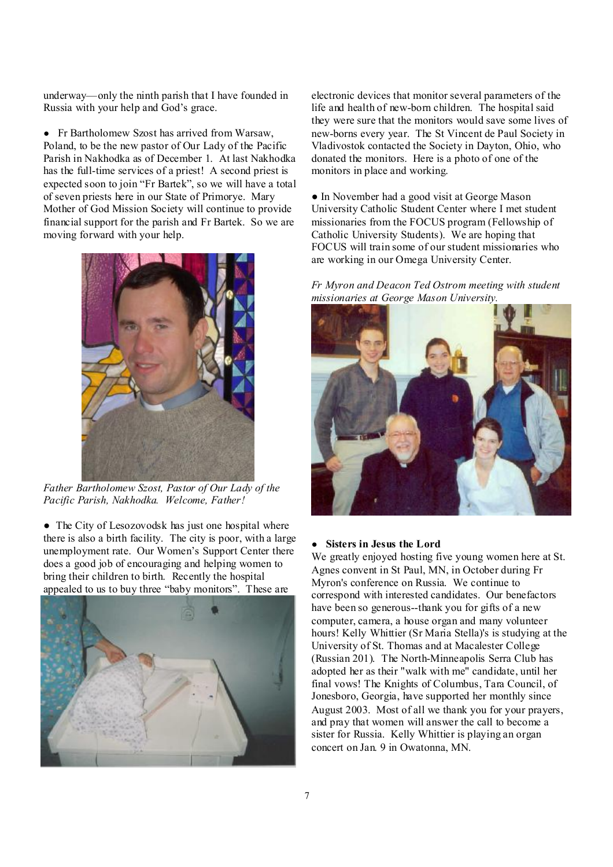underway—only the ninth parish that I have founded in Russia with your help and God's grace.

● Fr Bartholomew Szost has arrived from Warsaw, Poland, to be the new pastor of Our Lady of the Pacific Parish in Nakhodka as of December 1. At last Nakhodka has the full-time services of a priest! A second priest is expected soon to join "Fr Bartek", so we will have a total of seven priests here in our State of Primorye. Mary Mother of God Mission Society will continue to provide financial support for the parish and Fr Bartek. So we are moving forward with your help.



*Father Bartholomew Szost, Pastor of Our Lady of the Pacific Parish, Nakhodka. Welcome, Father!*

• The City of Lesozovodsk has just one hospital where there is also a birth facility. The city is poor, with a large unemployment rate. Our Women's Support Center there does a good job of encouraging and helping women to bring their children to birth. Recently the hospital appealed to us to buy three "baby monitors". These are



electronic devices that monitor several parameters of the life and health of new-born children. The hospital said they were sure that the monitors would save some lives of new-borns every year. The St Vincent de Paul Society in Vladivostok contacted the Society in Dayton, Ohio, who donated the monitors. Here is a photo of one of the monitors in place and working.

● In November had a good visit at George Mason University Catholic Student Center where I met student missionaries from the FOCUS program (Fellowship of Catholic University Students). We are hoping that FOCUS will train some of our student missionaries who are working in our Omega University Center.

*Fr Myron and Deacon Ted Ostrom meeting with student missionaries at George Mason University.* 



#### ● **Sisters in Jesus the Lord**

We greatly enjoyed hosting five young women here at St. Agnes convent in St Paul, MN, in October during Fr Myron's conference on Russia. We continue to correspond with interested candidates. Our benefactors have been so generous--thank you for gifts of a new computer, camera, a house organ and many volunteer hours! Kelly Whittier (Sr Maria Stella)'s is studying at the University of St. Thomas and at Macalester College (Russian 201). The North-Minneapolis Serra Club has adopted her as their "walk with me" candidate, until her final vows! The Knights of Columbus, Tara Council, of Jonesboro, Georgia, have supported her monthly since August 2003. Most of all we thank you for your prayers, and pray that women will answer the call to become a sister for Russia. Kelly Whittier is playing an organ concert on Jan. 9 in Owatonna, MN.